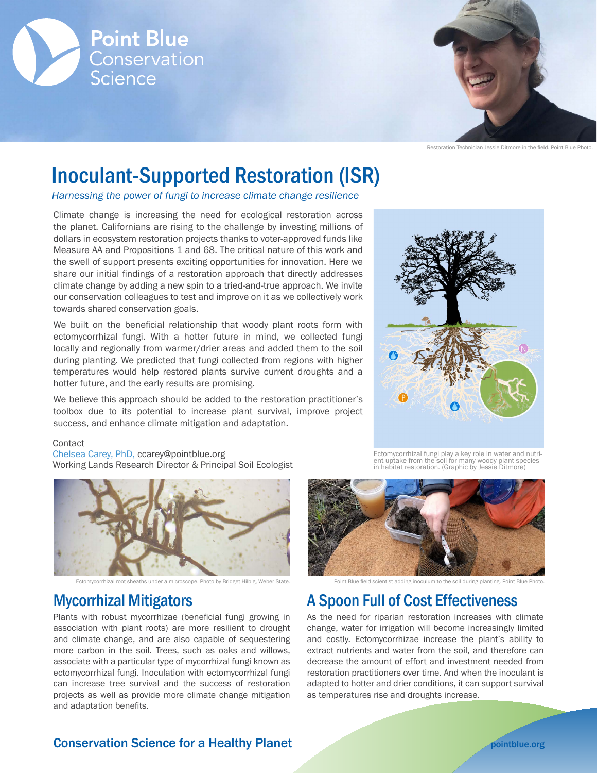



Restoration Technician Jessie Ditmore in the field. Point Blue Photo.

# Inoculant-Supported Restoration (ISR)

*Harnessing the power of fungi to increase climate change resilience*

Climate change is increasing the need for ecological restoration across the planet. Californians are rising to the challenge by investing millions of dollars in ecosystem restoration projects thanks to voter-approved funds like Measure AA and Propositions 1 and 68. The critical nature of this work and the swell of support presents exciting opportunities for innovation. Here we share our initial findings of a restoration approach that directly addresses climate change by adding a new spin to a tried-and-true approach. We invite our conservation colleagues to test and improve on it as we collectively work towards shared conservation goals.

We built on the beneficial relationship that woody plant roots form with ectomycorrhizal fungi. With a hotter future in mind, we collected fungi locally and regionally from warmer/drier areas and added them to the soil during planting. We predicted that fungi collected from regions with higher temperatures would help restored plants survive current droughts and a hotter future, and the early results are promising.

We believe this approach should be added to the restoration practitioner's toolbox due to its potential to increase plant survival, improve project success, and enhance climate mitigation and adaptation.

#### **Contact**

Chelsea Carey, PhD, ccarey@pointblue.org Working Lands Research Director & Principal Soil Ecologist



Ectomycorrhizal root sheaths under a microscope. Photo by Bridget Hilbig, Weber State.

## Mycorrhizal Mitigators

Plants with robust mycorrhizae (beneficial fungi growing in association with plant roots) are more resilient to drought and climate change, and are also capable of sequestering more carbon in the soil. Trees, such as oaks and willows, associate with a particular type of mycorrhizal fungi known as ectomycorrhizal fungi. Inoculation with ectomycorrhizal fungi can increase tree survival and the success of restoration projects as well as provide more climate change mitigation and adaptation benefits.



Ectomycorrhizal fungi play a key role in water and nutrient uptake from the soil for many woody plant species<br>in habitat restoration. (Graphic by lessie Ditmore) in habitat restoration. (Graphic by Jessie



Point Blue field scientist adding inoculum to the soil during planting. Point Blue Photo.

## A Spoon Full of Cost Effectiveness

As the need for riparian restoration increases with climate change, water for irrigation will become increasingly limited and costly. Ectomycorrhizae increase the plant's ability to extract nutrients and water from the soil, and therefore can decrease the amount of effort and investment needed from restoration practitioners over time. And when the inoculant is adapted to hotter and drier conditions, it can support survival as temperatures rise and droughts increase.

### **Conservation Science for a Healthy Planet [pointblue.org](https://www.pointblue.org)** pointblue.org